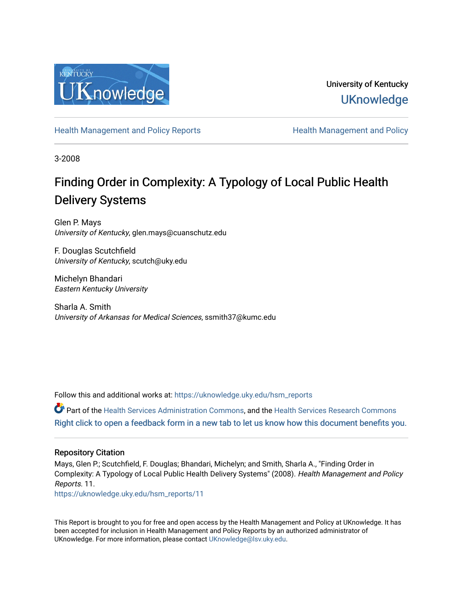

University of Kentucky **UKnowledge** 

[Health Management and Policy Reports](https://uknowledge.uky.edu/hsm_reports) **Health Management and Policy Health Management and Policy** 

3-2008

# Finding Order in Complexity: A Typology of Local Public Health Delivery Systems

Glen P. Mays University of Kentucky, glen.mays@cuanschutz.edu

F. Douglas Scutchfield University of Kentucky, scutch@uky.edu

Michelyn Bhandari Eastern Kentucky University

Sharla A. Smith University of Arkansas for Medical Sciences, ssmith37@kumc.edu

Follow this and additional works at: [https://uknowledge.uky.edu/hsm\\_reports](https://uknowledge.uky.edu/hsm_reports?utm_source=uknowledge.uky.edu%2Fhsm_reports%2F11&utm_medium=PDF&utm_campaign=PDFCoverPages)

Part of the [Health Services Administration Commons,](http://network.bepress.com/hgg/discipline/747?utm_source=uknowledge.uky.edu%2Fhsm_reports%2F11&utm_medium=PDF&utm_campaign=PDFCoverPages) and the [Health Services Research Commons](http://network.bepress.com/hgg/discipline/816?utm_source=uknowledge.uky.edu%2Fhsm_reports%2F11&utm_medium=PDF&utm_campaign=PDFCoverPages) [Right click to open a feedback form in a new tab to let us know how this document benefits you.](https://uky.az1.qualtrics.com/jfe/form/SV_9mq8fx2GnONRfz7)

#### Repository Citation

Mays, Glen P.; Scutchfield, F. Douglas; Bhandari, Michelyn; and Smith, Sharla A., "Finding Order in Complexity: A Typology of Local Public Health Delivery Systems" (2008). Health Management and Policy Reports. 11.

[https://uknowledge.uky.edu/hsm\\_reports/11](https://uknowledge.uky.edu/hsm_reports/11?utm_source=uknowledge.uky.edu%2Fhsm_reports%2F11&utm_medium=PDF&utm_campaign=PDFCoverPages) 

This Report is brought to you for free and open access by the Health Management and Policy at UKnowledge. It has been accepted for inclusion in Health Management and Policy Reports by an authorized administrator of UKnowledge. For more information, please contact [UKnowledge@lsv.uky.edu](mailto:UKnowledge@lsv.uky.edu).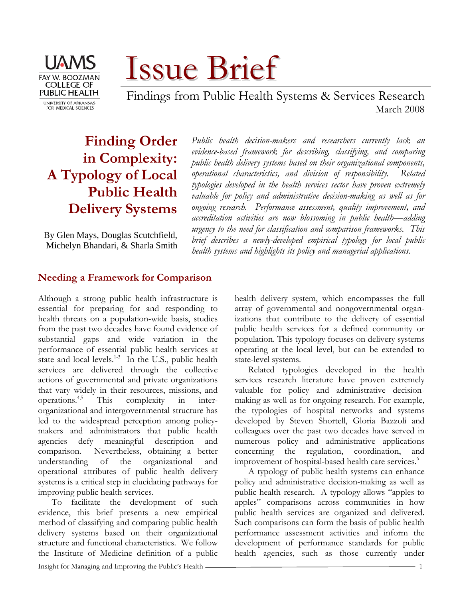

Issue Brief

 Findings from Public Health Systems & Services Research March 2008

# **Finding Order in Complexity: A Typology of Local Public Health Delivery Systems**

By Glen Mays, Douglas Scutchfield, Michelyn Bhandari, & Sharla Smith *Public health decision-makers and researchers currently lack an evidence-based framework for describing, classifying, and comparing public health delivery systems based on their organizational components, operational characteristics, and division of responsibility. Related typologies developed in the health services sector have proven extremely valuable for policy and administrative decision-making as well as for ongoing research. Performance assessment, quality improvement, and accreditation activities are now blossoming in public health—adding urgency to the need for classification and comparison frameworks. This brief describes a newly-developed empirical typology for local public health systems and highlights its policy and managerial applications.* 

# **Needing a Framework for Comparison**

Although a strong public health infrastructure is essential for preparing for and responding to health threats on a population-wide basis, studies from the past two decades have found evidence of substantial gaps and wide variation in the performance of essential public health services at state and local levels. $1-3$  In the U.S., public health services are delivered through the collective actions of governmental and private organizations that vary widely in their resources, missions, and operations.4,5 This complexity in interorganizational and intergovernmental structure has led to the widespread perception among policymakers and administrators that public health agencies defy meaningful description and comparison. Nevertheless, obtaining a better understanding of the organizational and operational attributes of public health delivery systems is a critical step in elucidating pathways for improving public health services.

To facilitate the development of such evidence, this brief presents a new empirical method of classifying and comparing public health delivery systems based on their organizational structure and functional characteristics. We follow the Institute of Medicine definition of a public health delivery system, which encompasses the full array of governmental and nongovernmental organizations that contribute to the delivery of essential public health services for a defined community or population. This typology focuses on delivery systems operating at the local level, but can be extended to state-level systems.

Related typologies developed in the health services research literature have proven extremely valuable for policy and administrative decisionmaking as well as for ongoing research. For example, the typologies of hospital networks and systems developed by Steven Shortell, Gloria Bazzoli and colleagues over the past two decades have served in numerous policy and administrative applications concerning the regulation, coordination, and improvement of hospital-based health care services.<sup>6</sup>

A typology of public health systems can enhance policy and administrative decision-making as well as public health research. A typology allows "apples to apples" comparisons across communities in how public health services are organized and delivered. Such comparisons can form the basis of public health performance assessment activities and inform the development of performance standards for public health agencies, such as those currently under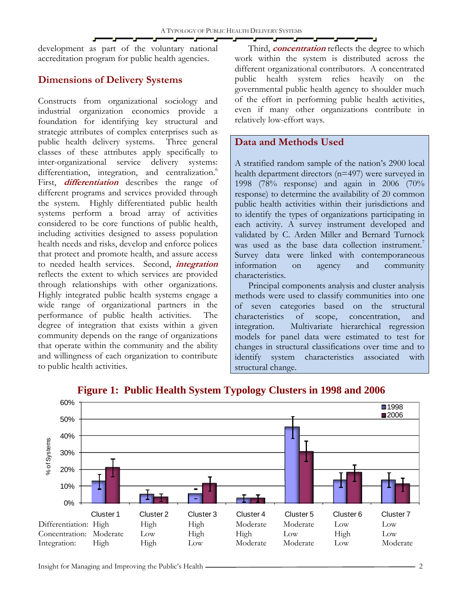development as part of the voluntary national accreditation program for public health agencies.

# **Dimensions of Delivery Systems**

Constructs from organizational sociology and industrial organization economics provide a foundation for identifying key structural and strategic attributes of complex enterprises such as public health delivery systems. Three general classes of these attributes apply specifically to inter-organizational service delivery systems: differentiation, integration, and centralization.<sup>6</sup> First, **differentiation** describes the range of different programs and services provided through the system. Highly differentiated public health systems perform a broad array of activities considered to be core functions of public health, including activities designed to assess population health needs and risks, develop and enforce polices that protect and promote health, and assure access to needed health services. Second, **integration** reflects the extent to which services are provided through relationships with other organizations. Highly integrated public health systems engage a wide range of organizational partners in the performance of public health activities. The degree of integration that exists within a given community depends on the range of organizations that operate within the community and the ability and willingness of each organization to contribute to public health activities.

Third, **concentration** reflects the degree to which work within the system is distributed across the different organizational contributors. A concentrated public health system relies heavily on the governmental public health agency to shoulder much of the effort in performing public health activities, even if many other organizations contribute in relatively low-effort ways.

# **Data and Methods Used**

A stratified random sample of the nation's 2900 local health department directors (n=497) were surveyed in 1998 (78% response) and again in 2006 (70% response) to determine the availability of 20 common public health activities within their jurisdictions and to identify the types of organizations participating in each activity. A survey instrument developed and validated by C. Arden Miller and Bernard Turnock was used as the base data collection instrument.<sup>7</sup> Survey data were linked with contemporaneous information on agency and community characteristics.

Principal components analysis and cluster analysis methods were used to classify communities into one of seven categories based on the structural characteristics of scope, concentration, and integration. Multivariate hierarchical regression models for panel data were estimated to test for changes in structural classifications over time and to identify system characteristics associated with structural change.



**Figure 1: Public Health System Typology Clusters in 1998 and 2006**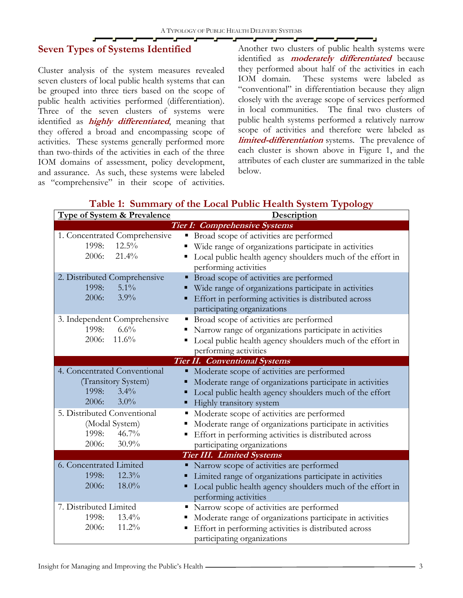# **Seven Types of Systems Identified**

Cluster analysis of the system measures revealed seven clusters of local public health systems that can be grouped into three tiers based on the scope of public health activities performed (differentiation). Three of the seven clusters of systems were identified as **highly differentiated**, meaning that they offered a broad and encompassing scope of activities. These systems generally performed more than two-thirds of the activities in each of the three IOM domains of assessment, policy development, and assurance. As such, these systems were labeled as "comprehensive" in their scope of activities.

Another two clusters of public health systems were identified as **moderately differentiated** because they performed about half of the activities in each IOM domain. These systems were labeled as "conventional" in differentiation because they align closely with the average scope of services performed in local communities. The final two clusters of public health systems performed a relatively narrow scope of activities and therefore were labeled as **limited-differentiation** systems. The prevalence of each cluster is shown above in Figure 1, and the attributes of each cluster are summarized in the table below.

| <b>Type of System &amp; Prevalence</b>                                                                                     | Description                                                                                                                                                                                                                                  |  |  |  |  |  |  |  |  |
|----------------------------------------------------------------------------------------------------------------------------|----------------------------------------------------------------------------------------------------------------------------------------------------------------------------------------------------------------------------------------------|--|--|--|--|--|--|--|--|
| Tier I: Comprehensive Systems                                                                                              |                                                                                                                                                                                                                                              |  |  |  |  |  |  |  |  |
| 1. Concentrated Comprehensive<br>1998:<br>$12.5\%$<br>2006:<br>21.4%                                                       | • Broad scope of activities are performed<br>Wide range of organizations participate in activities<br>Local public health agency shoulders much of the effort in<br>performing activities                                                    |  |  |  |  |  |  |  |  |
| 2. Distributed Comprehensive<br>1998:<br>$5.1\%$<br>2006:<br>$3.9\%$                                                       | • Broad scope of activities are performed<br>Wide range of organizations participate in activities<br>Effort in performing activities is distributed across<br>participating organizations                                                   |  |  |  |  |  |  |  |  |
| 3. Independent Comprehensive<br>1998:<br>6.6%<br>2006:<br>11.6%                                                            | • Broad scope of activities are performed<br>Narrow range of organizations participate in activities<br>Local public health agency shoulders much of the effort in<br>performing activities                                                  |  |  |  |  |  |  |  |  |
|                                                                                                                            | <b>Tier II. Conventional Systems</b>                                                                                                                                                                                                         |  |  |  |  |  |  |  |  |
| 4. Concentrated Conventional<br>(Transitory System)<br>$3.4\%$<br>1998:<br>$3.0\%$<br>2006:<br>5. Distributed Conventional | Moderate scope of activities are performed<br>Moderate range of organizations participate in activities<br>Local public health agency shoulders much of the effort<br>Highly transitory system<br>Moderate scope of activities are performed |  |  |  |  |  |  |  |  |
| (Modal System)<br>$46.7\%$<br>1998:<br>2006:<br>$30.9\%$                                                                   | Moderate range of organizations participate in activities<br>Effort in performing activities is distributed across<br>participating organizations                                                                                            |  |  |  |  |  |  |  |  |
| <b>Tier III.</b> Limited Systems                                                                                           |                                                                                                                                                                                                                                              |  |  |  |  |  |  |  |  |
| 6. Concentrated Limited<br>1998:<br>$12.3\%$<br>2006:<br>$18.0\%$                                                          | Narrow scope of activities are performed<br>Limited range of organizations participate in activities<br>Local public health agency shoulders much of the effort in<br>performing activities                                                  |  |  |  |  |  |  |  |  |
| 7. Distributed Limited<br>1998:<br>$13.4\%$<br>2006:<br>11.2%                                                              | Narrow scope of activities are performed<br>Moderate range of organizations participate in activities<br>Effort in performing activities is distributed across<br>participating organizations                                                |  |  |  |  |  |  |  |  |

# **Table 1: Summary of the Local Public Health System Typology**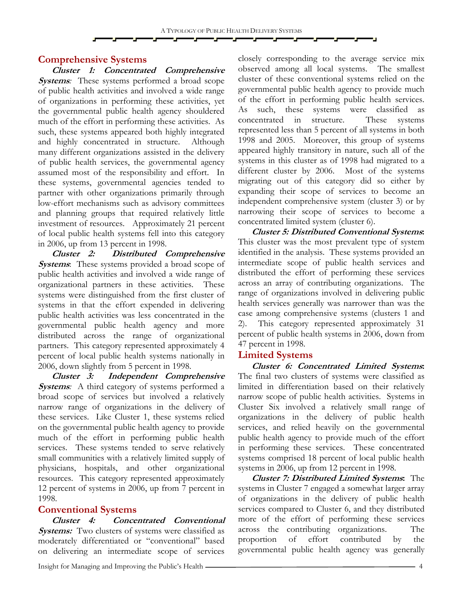### **Comprehensive Systems**

**Cluster 1: Concentrated Comprehensive Systems**: These systems performed a broad scope of public health activities and involved a wide range of organizations in performing these activities, yet the governmental public health agency shouldered much of the effort in performing these activities. As such, these systems appeared both highly integrated and highly concentrated in structure. Although many different organizations assisted in the delivery of public health services, the governmental agency assumed most of the responsibility and effort. In these systems, governmental agencies tended to partner with other organizations primarily through low-effort mechanisms such as advisory committees and planning groups that required relatively little investment of resources. Approximately 21 percent of local public health systems fell into this category in 2006, up from 13 percent in 1998.

**Cluster 2: Distributed Comprehensive Systems**: These systems provided a broad scope of public health activities and involved a wide range of organizational partners in these activities. These systems were distinguished from the first cluster of systems in that the effort expended in delivering public health activities was less concentrated in the governmental public health agency and more distributed across the range of organizational partners. This category represented approximately 4 percent of local public health systems nationally in 2006, down slightly from 5 percent in 1998.

**Cluster 3: Independent Comprehensive Systems:** A third category of systems performed a broad scope of services but involved a relatively narrow range of organizations in the delivery of these services. Like Cluster 1, these systems relied on the governmental public health agency to provide much of the effort in performing public health services. These systems tended to serve relatively small communities with a relatively limited supply of physicians, hospitals, and other organizational resources. This category represented approximately 12 percent of systems in 2006, up from 7 percent in 1998.

#### **Conventional Systems**

**Cluster 4: Concentrated Conventional Systems:** Two clusters of systems were classified as moderately differentiated or "conventional" based on delivering an intermediate scope of services

closely corresponding to the average service mix observed among all local systems. The smallest cluster of these conventional systems relied on the governmental public health agency to provide much of the effort in performing public health services. As such, these systems were classified as concentrated in structure. These systems represented less than 5 percent of all systems in both 1998 and 2005. Moreover, this group of systems appeared highly transitory in nature, such all of the systems in this cluster as of 1998 had migrated to a different cluster by 2006. Most of the systems migrating out of this category did so either by expanding their scope of services to become an independent comprehensive system (cluster 3) or by narrowing their scope of services to become a concentrated limited system (cluster 6).

**Cluster 5: Distributed Conventional Systems:** This cluster was the most prevalent type of system identified in the analysis. These systems provided an intermediate scope of public health services and distributed the effort of performing these services across an array of contributing organizations. The range of organizations involved in delivering public health services generally was narrower than was the case among comprehensive systems (clusters 1 and 2). This category represented approximately 31 percent of public health systems in 2006, down from 47 percent in 1998.

#### **Limited Systems**

**Cluster 6: Concentrated Limited Systems:** The final two clusters of systems were classified as limited in differentiation based on their relatively narrow scope of public health activities. Systems in Cluster Six involved a relatively small range of organizations in the delivery of public health services, and relied heavily on the governmental public health agency to provide much of the effort in performing these services. These concentrated systems comprised 18 percent of local public health systems in 2006, up from 12 percent in 1998.

**Cluster 7: Distributed Limited Systems:** The systems in Cluster 7 engaged a somewhat larger array of organizations in the delivery of public health services compared to Cluster 6, and they distributed more of the effort of performing these services across the contributing organizations. The proportion of effort contributed by the governmental public health agency was generally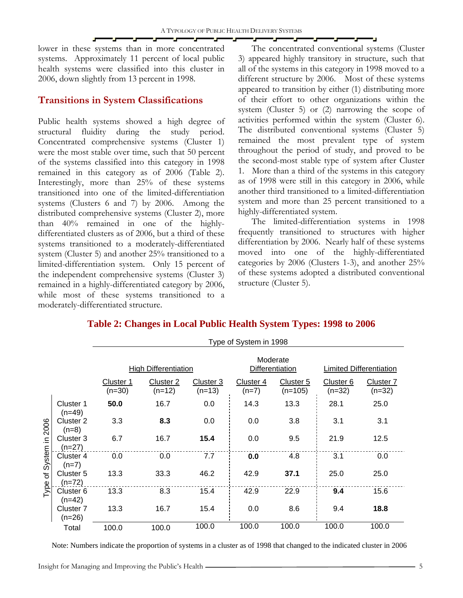lower in these systems than in more concentrated systems. Approximately 11 percent of local public health systems were classified into this cluster in 2006, down slightly from 13 percent in 1998.

# **Transitions in System Classifications**

Public health systems showed a high degree of structural fluidity during the study period. Concentrated comprehensive systems (Cluster 1) were the most stable over time, such that 50 percent of the systems classified into this category in 1998 remained in this category as of 2006 (Table 2). Interestingly, more than 25% of these systems transitioned into one of the limited-differentiation systems (Clusters 6 and 7) by 2006. Among the distributed comprehensive systems (Cluster 2), more than 40% remained in one of the highlydifferentiated clusters as of 2006, but a third of these systems transitioned to a moderately-differentiated system (Cluster 5) and another 25% transitioned to a limited-differentiation system. Only 15 percent of the independent comprehensive systems (Cluster 3) remained in a highly-differentiated category by 2006, while most of these systems transitioned to a moderately-differentiated structure.

The concentrated conventional systems (Cluster 3) appeared highly transitory in structure, such that all of the systems in this category in 1998 moved to a different structure by 2006. Most of these systems appeared to transition by either (1) distributing more of their effort to other organizations within the system (Cluster 5) or (2) narrowing the scope of activities performed within the system (Cluster 6). The distributed conventional systems (Cluster 5) remained the most prevalent type of system throughout the period of study, and proved to be the second-most stable type of system after Cluster 1. More than a third of the systems in this category as of 1998 were still in this category in 2006, while another third transitioned to a limited-differentiation system and more than 25 percent transitioned to a highly-differentiated system.

The limited-differentiation systems in 1998 frequently transitioned to structures with higher differentiation by 2006. Nearly half of these systems moved into one of the highly-differentiated categories by 2006 (Clusters 1-3), and another 25% of these systems adopted a distributed conventional structure (Cluster 5).

|                                               |                                  | Type of System in 1998      |                       |                       |                             |                        |                                |                                |  |  |  |
|-----------------------------------------------|----------------------------------|-----------------------------|-----------------------|-----------------------|-----------------------------|------------------------|--------------------------------|--------------------------------|--|--|--|
|                                               |                                  | <b>High Differentiation</b> |                       |                       | Moderate<br>Differentiation |                        | <b>Limited Differentiation</b> |                                |  |  |  |
|                                               |                                  | Cluster 1<br>$(n=30)$       | Cluster 2<br>$(n=12)$ | Cluster 3<br>$(n=13)$ | Cluster 4<br>$(n=7)$        | Cluster 5<br>$(n=105)$ | Cluster 6<br>$(n=32)$          | Cluster <sub>7</sub><br>(n=32) |  |  |  |
| System in 2006<br>$\overline{\sigma}$<br>Type | Cluster 1<br>$(n=49)$            | 50.0                        | 16.7                  | 0.0                   | 14.3                        | 13.3                   | 28.1                           | 25.0                           |  |  |  |
|                                               | Cluster 2<br>$(n=8)$             | 3.3                         | 8.3                   | 0.0                   | 0.0                         | 3.8                    | 3.1                            | 3.1                            |  |  |  |
|                                               | Cluster 3<br>$(n=27)$            | 6.7                         | 16.7                  | 15.4                  | 0.0                         | 9.5                    | 21.9                           | 12.5                           |  |  |  |
|                                               | Cluster 4<br>$(n=7)$             | 0.0                         | 0.0                   | 7.7                   | 0.0                         | 4.8                    | 3.1                            | 0.0                            |  |  |  |
|                                               | Cluster 5<br>$(n=72)$            | 13.3                        | 33.3                  | 46.2                  | 42.9                        | 37.1                   | 25.0                           | 25.0                           |  |  |  |
|                                               | Cluster <sub>6</sub><br>$(n=42)$ | 13.3                        | 8.3                   | 15.4                  | 42.9                        | 22.9                   | 9.4                            | 15.6                           |  |  |  |
|                                               | Cluster <sub>7</sub><br>$(n=26)$ | 13.3                        | 16.7                  | 15.4                  | 0.0                         | 8.6                    | 9.4                            | 18.8                           |  |  |  |
|                                               | Total                            | 100.0                       | 100.0                 | 100.0                 | 100.0                       | 100.0                  | 100.0                          | 100.0                          |  |  |  |

# **Table 2: Changes in Local Public Health System Types: 1998 to 2006**

Note: Numbers indicate the proportion of systems in a cluster as of 1998 that changed to the indicated cluster in 2006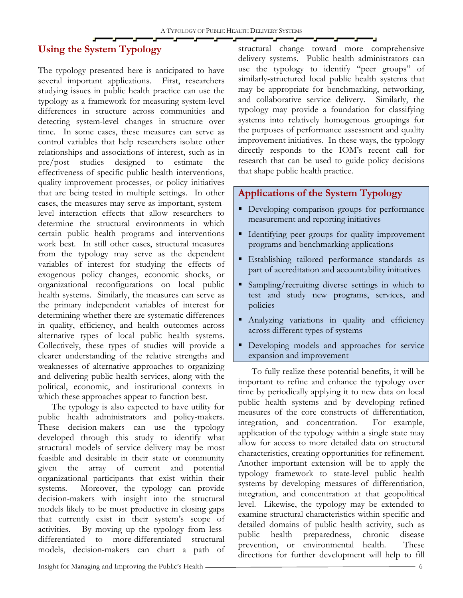# **Using the System Typology**

The typology presented here is anticipated to have several important applications. First, researchers studying issues in public health practice can use the typology as a framework for measuring system-level differences in structure across communities and detecting system-level changes in structure over time. In some cases, these measures can serve as control variables that help researchers isolate other relationships and associations of interest, such as in pre/post studies designed to estimate the effectiveness of specific public health interventions, quality improvement processes, or policy initiatives that are being tested in multiple settings. In other cases, the measures may serve as important, systemlevel interaction effects that allow researchers to determine the structural environments in which certain public health programs and interventions work best. In still other cases, structural measures from the typology may serve as the dependent variables of interest for studying the effects of exogenous policy changes, economic shocks, or organizational reconfigurations on local public health systems. Similarly, the measures can serve as the primary independent variables of interest for determining whether there are systematic differences in quality, efficiency, and health outcomes across alternative types of local public health systems. Collectively, these types of studies will provide a clearer understanding of the relative strengths and weaknesses of alternative approaches to organizing and delivering public health services, along with the political, economic, and institutional contexts in which these approaches appear to function best.

The typology is also expected to have utility for public health administrators and policy-makers. These decision-makers can use the typology developed through this study to identify what structural models of service delivery may be most feasible and desirable in their state or community given the array of current and potential organizational participants that exist within their systems. Moreover, the typology can provide decision-makers with insight into the structural models likely to be most productive in closing gaps that currently exist in their system's scope of activities. By moving up the typology from lessdifferentiated to more-differentiated structural models, decision-makers can chart a path of structural change toward more comprehensive delivery systems. Public health administrators can use the typology to identify "peer groups" of similarly-structured local public health systems that may be appropriate for benchmarking, networking, and collaborative service delivery. Similarly, the typology may provide a foundation for classifying systems into relatively homogenous groupings for the purposes of performance assessment and quality improvement initiatives. In these ways, the typology directly responds to the IOM's recent call for research that can be used to guide policy decisions that shape public health practice.

## **Applications of the System Typology**

- **Developing comparison groups for performance** measurement and reporting initiatives
- Identifying peer groups for quality improvement programs and benchmarking applications
- Establishing tailored performance standards as part of accreditation and accountability initiatives
- Sampling/recruiting diverse settings in which to test and study new programs, services, and policies
- Analyzing variations in quality and efficiency across different types of systems
- **Developing models and approaches for service** expansion and improvement

To fully realize these potential benefits, it will be important to refine and enhance the typology over time by periodically applying it to new data on local public health systems and by developing refined measures of the core constructs of differentiation, integration, and concentration. For example, application of the typology within a single state may allow for access to more detailed data on structural characteristics, creating opportunities for refinement. Another important extension will be to apply the typology framework to state-level public health systems by developing measures of differentiation, integration, and concentration at that geopolitical level. Likewise, the typology may be extended to examine structural characteristics within specific and detailed domains of public health activity, such as public health preparedness, chronic disease prevention, or environmental health. These directions for further development will help to fill